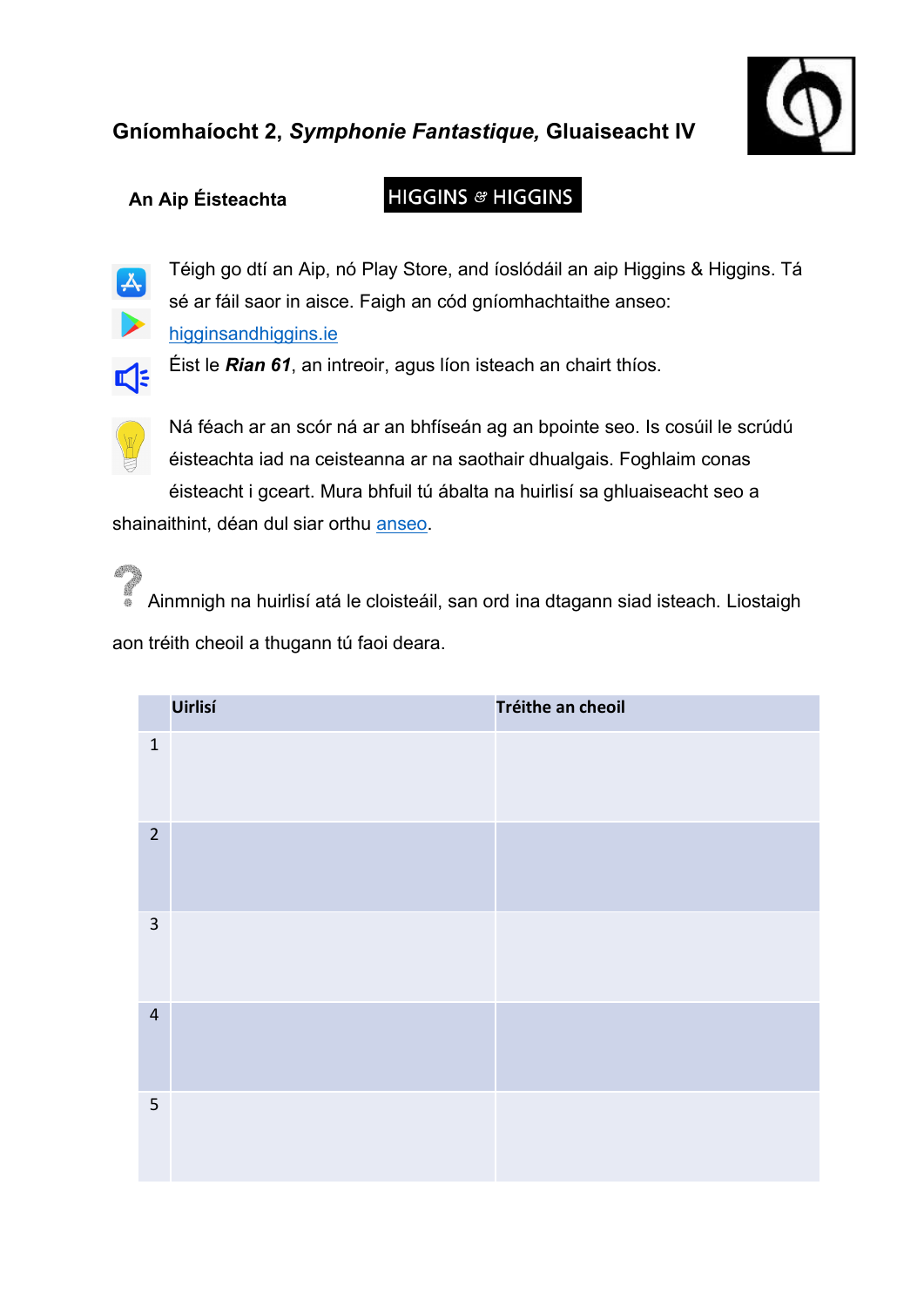

## **An Aip Éisteachta**

## **HIGGINS & HIGGINS**



Téigh go dtí an Aip, nó Play Store, and íoslódáil an aip Higgins & Higgins. Tá sé ar fáil saor in aisce. Faigh an cód gníomhachtaithe anseo: higginsandhiggins.ie



Éist le *Rian 61*, an intreoir, agus líon isteach an chairt thíos.



**ASSAULT** 

Ná féach ar an scór ná ar an bhfíseán ag an bpointe seo. Is cosúil le scrúdú éisteachta iad na ceisteanna ar na saothair dhualgais. Foghlaim conas éisteacht i gceart. Mura bhfuil tú ábalta na huirlisí sa ghluaiseacht seo a

shainaithint, déan dul siar orthu anseo.

Ainmnigh na huirlisí atá le cloisteáil, san ord ina dtagann siad isteach. Liostaigh aon tréith cheoil a thugann tú faoi deara.

|                | Uirlisí | Tréithe an cheoil |
|----------------|---------|-------------------|
| $\mathbf 1$    |         |                   |
| $\overline{2}$ |         |                   |
| $\mathbf{3}$   |         |                   |
| $\overline{4}$ |         |                   |
| 5              |         |                   |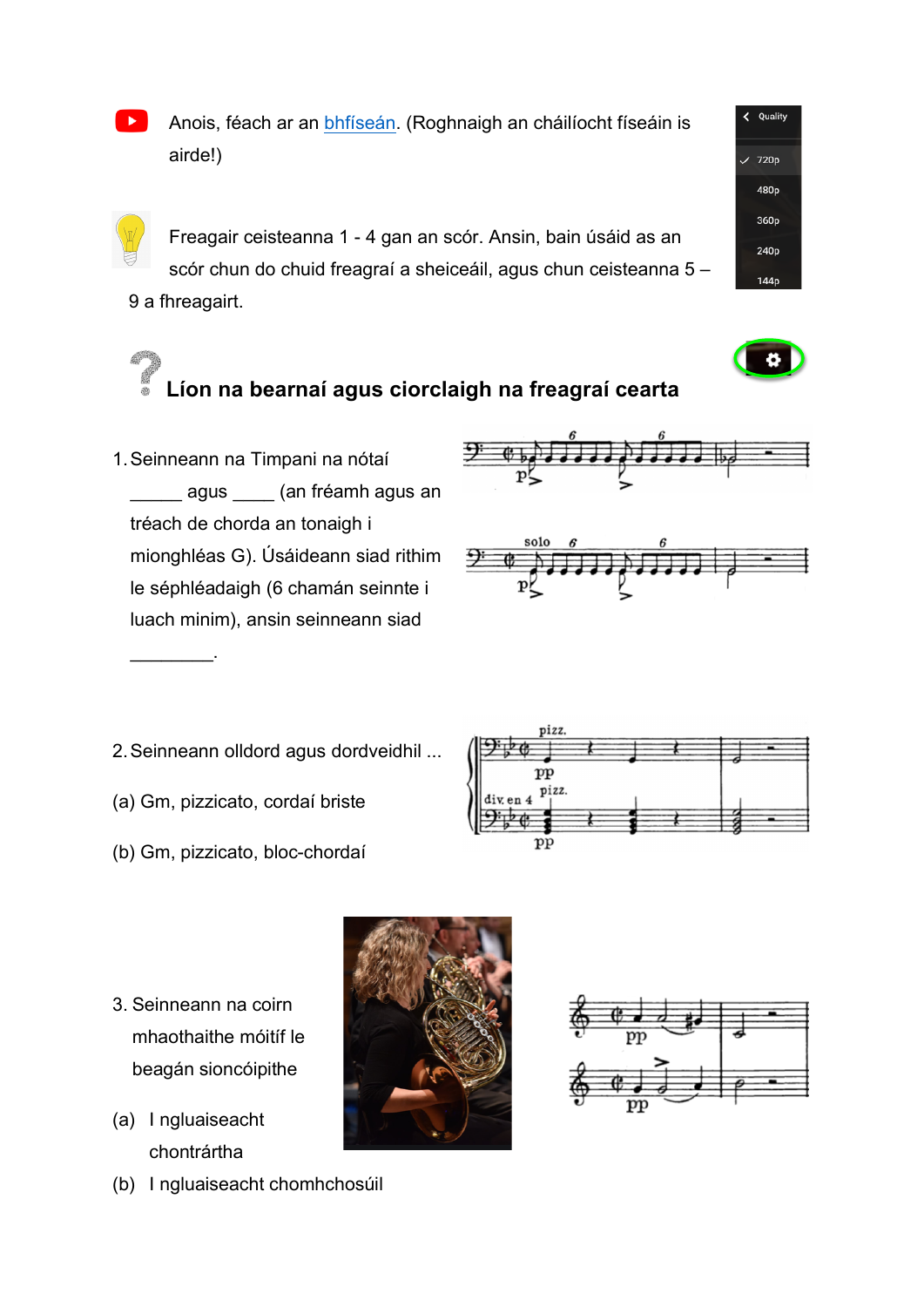Anois, féach ar an bhfíseán. (Roghnaigh an cháilíocht físeáin is airde!)

Freagair ceisteanna 1 - 4 gan an scór. Ansin, bain úsáid as an scór chun do chuid freagraí a sheiceáil, agus chun ceisteanna 5 – 9 a fhreagairt.

## **Líon na bearnaí agus ciorclaigh na freagraí cearta**

1.Seinneann na Timpani na nótaí es agus es (an fréamh agus an tréach de chorda an tonaigh i mionghléas G). Úsáideann siad rithim le séphléadaigh (6 chamán seinnte i luach minim), ansin seinneann siad





- 2.Seinneann olldord agus dordveidhil ...
- (a) Gm, pizzicato, cordaí briste

 $\overline{\phantom{a}}$  . The set of  $\overline{\phantom{a}}$  .

(b) Gm, pizzicato, bloc-chordaí



- 3. Seinneann na coirn mhaothaithe móitíf le beagán sioncóipithe
- (a) I ngluaiseacht chontrártha
- (b) I ngluaiseacht chomhchosúil